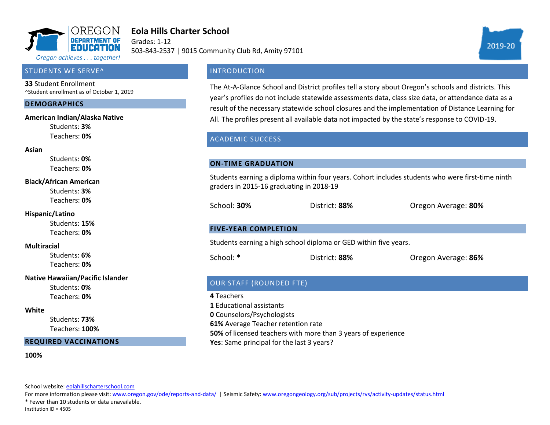

# **Eola Hills Charter School**

Grades: 1-12 503-843-2537 | 9015 Community Club Rd, Amity 97101



#### STUDENTS WE SERVE^

**33** Student Enrollment

^Student enrollment as of October 1, 2019

#### **DEMOGRAPHICS**

#### **American Indian/Alaska Native**

Students: **3%** Teachers: **0%**

#### **Asian**

Students: **0%** Teachers: **0%**

#### **Black/African American**

Students: **3%** Teachers: **0%**

#### **Hispanic/Latino**

Students: **15%** Teachers: **0%**

#### **Multiracial**

Students: **6%** Teachers: **0%**

#### **Native Hawaiian/Pacific Islander**

Students: **0%** Teachers: **0%**

#### **White**

Students: **73%** Teachers: **100%**

#### **REQUIRED VACCINATIONS**

**100%**

School website[: eolahillscharterschool.com](eolahillscharterschool.com)

For more information please visit: [www.oregon.gov/ode/reports-and-data/ |](https://www.oregon.gov/ode/reports-and-data/Pages/default.aspx) Seismic Safety[: www.oregongeology.org/sub/projects/rvs/activity-updates/status.html](http://www.oregongeology.org/sub/projects/rvs/activity-updates/status.html)

\* Fewer than 10 students or data unavailable.

Institution ID = 4505

## **INTRODUCTION**

The At-A-Glance School and District profiles tell a story about Oregon's schools and districts. This year's profiles do not include statewide assessments data, class size data, or attendance data as a result of the necessary statewide school closures and the implementation of Distance Learning for All. The profiles present all available data not impacted by the state's response to COVID-19.

### ACADEMIC SUCCESS

#### **ON-TIME GRADUATION**

Students earning a diploma within four years. Cohort includes students who were first-time ninth graders in 2015-16 graduating in 2018-19

School: **30%** District: **88%** Oregon Average: **80%**

#### **FIVE-YEAR COMPLETION**

Students earning a high school diploma or GED within five years.

School: **\*** District: **88%** Oregon Average: **86%**

# OUR STAFF (ROUNDED FTE)

**4** Teachers

**1** Educational assistants

**0** Counselors/Psychologists

**61%** Average Teacher retention rate

**50%** of licensed teachers with more than 3 years of experience

**Yes**: Same principal for the last 3 years?